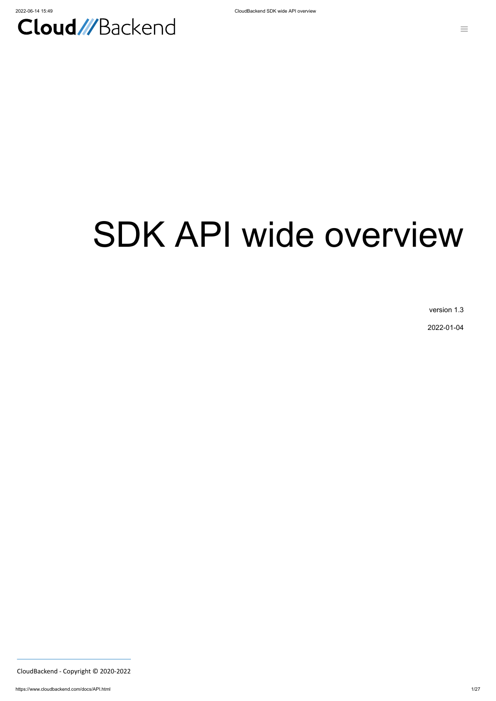

# SDK API wide overview

version 1.3

2022-01-04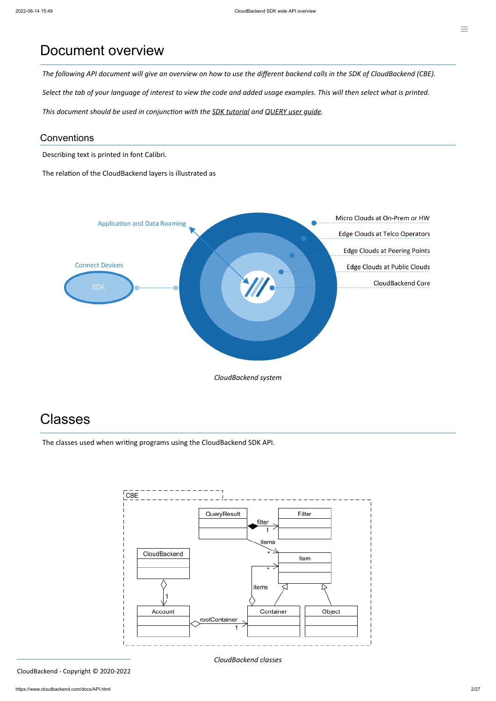### Document overview

The following API document will give an overview on how to use the different backend calls in the SDK of CloudBackend (CBE).

Select the tab of your language of interest to view the code and added usage examples. This will then select what is printed.

*This document should be used in conjunction with the SDK [tutorial](https://www.cloudbackend.com/docs/Tutorial.html) and [QUERY](https://www.cloudbackend.com/docs/QUERYug.html) user guide.*

#### **Conventions**

Describing text is printed in font Calibri.

The relation of the CloudBackend layers is illustrated as



## **Classes**

The classes used when writing programs using the CloudBackend SDK API.



*CloudBackend classes*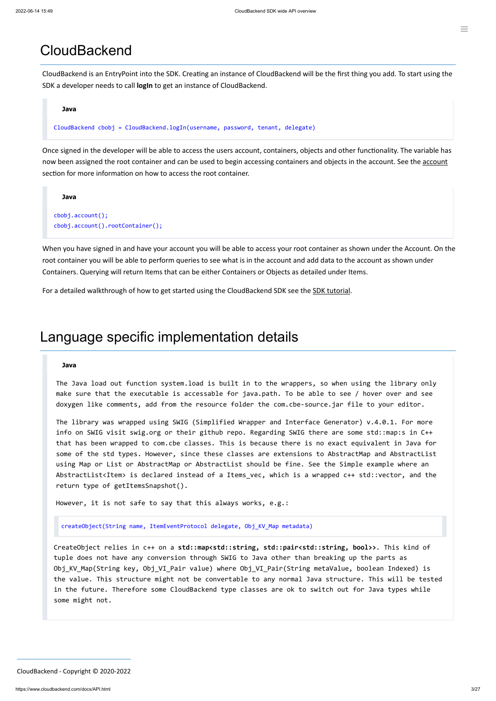### **CloudBackend**

CloudBackend is an EntryPoint into the SDK. Creating an instance of CloudBackend will be the first thing you add. To start using the SDK a developer needs to call **logIn** to get an instance of CloudBackend.

#### **Java**

CloudBackend cbobj = CloudBackend.logIn(username, password, tenant, delegate)

Once signed in the developer will be able to access the users account, containers, objects and other functionality. The variable has now been assigned the root container and can be used to begin accessing containers and objects in the [account](#page-7-0). See the account section for more information on how to access the root container.

```
Java
cbobj.account();
cbobj.account().rootContainer();
```
When you have signed in and have your account you will be able to access your root container as shown under the Account. On the root container you will be able to perform queries to see what is in the account and add data to the account as shown under Containers. Querying will return Items that can be either Containers or Objects as detailed under Items.

For a detailed walkthrough of how to get started using the CloudBackend SDK see the SDK [tutorial.](https://www.cloudbackend.com/docs/Tutorial.html)

### Language specific implementation details

#### **Java**

The Java load out function system.load is built in to the wrappers, so when using the library only make sure that the executable is accessable for java.path. To be able to see / hover over and see doxygen like comments, add from the resource folder the com.cbe-source.jar file to your editor.

The library was wrapped using SWIG (Simplified Wrapper and Interface Generator) v.4.0.1. For more info on SWIG visit swig.org or their github repo. Regarding SWIG there are some std::map:s in C++ that has been wrapped to com.cbe classes. This is because there is no exact equivalent in Java for some of the std types. However, since these classes are extensions to AbstractMap and AbstractList using Map or List or AbstractMap or AbstractList should be fine. See the Simple example where an AbstractList<Item> is declared instead of a Items\_vec, which is a wrapped c++ std::vector, and the return type of getItemsSnapshot().

However, it is not safe to say that this always works, e.g.:

createObject(String name, ItemEventProtocol delegate, Obj\_KV\_Map metadata)

CreateObject relies in c++ on a **std::map<std::string, std::pair<std::string, bool>>**. This kind of tuple does not have any conversion through SWIG to Java other than breaking up the parts as Obj KV Map(String key, Obj VI Pair value) where Obj VI Pair(String metaValue, boolean Indexed) is the value. This structure might not be convertable to any normal Java structure. This will be tested in the future. Therefore some CloudBackend type classes are ok to switch out for Java types while some might not.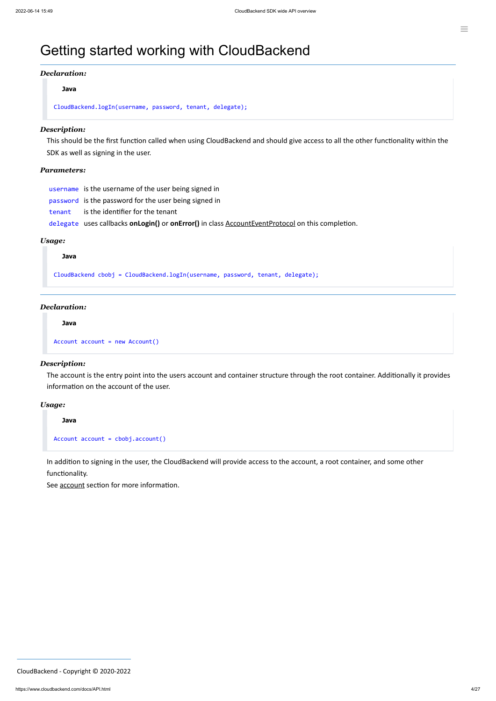### Getting started working with CloudBackend

#### *Declaration:*

#### **Java**

CloudBackend.logIn(username, password, tenant, delegate);

#### *Description:*

This should be the first function called when using CloudBackend and should give access to all the other functionality within the SDK as well as signing in the user.

#### *Parameters:*

username is the username of the user being signed in

password is the password for the user being signed in

tenant is the identifier for the tenant

delegate uses callbacks **onLogin()** or **onError()** in class [AccountEventProtocol](#page-23-0) on this completion.

#### *Usage:*

#### **Java**

CloudBackend cbobj = CloudBackend.logIn(username, password, tenant, delegate);

#### *Declaration:*

#### **Java**

```
Account account = new Account()
```
#### *Description:*

The account is the entry point into the users account and container structure through the root container. Additionally it provides information on the account of the user.

#### *Usage:*

#### **Java**

```
Account account = cbobj.account()
```
In addition to signing in the user, the CloudBackend will provide access to the account, a root container, and some other functionality.

See **[account](#page-7-0)** section for more information.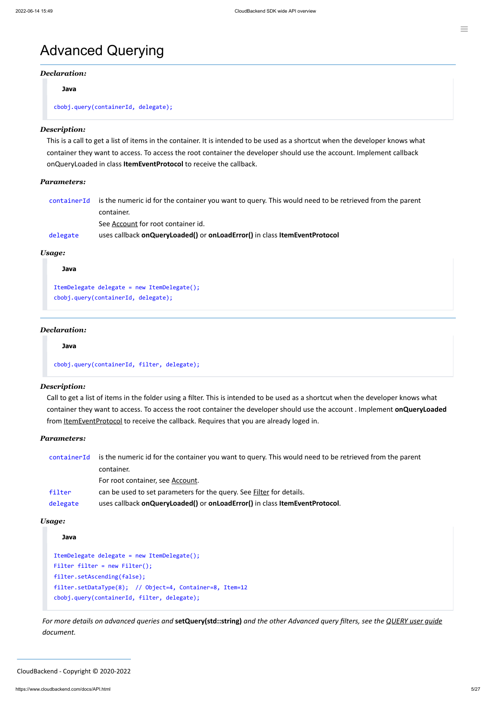### Advanced Querying

#### *Declaration:*

**Java**

#### cbobj.query(containerId, delegate);

#### *Description:*

This is a call to get a list of items in the container. It is intended to be used as a shortcut when the developer knows what container they want to access. To access the root container the developer should use the account. Implement callback onQueryLoaded in class **ItemEventProtocol** to receive the callback.

Call to get a list of items in the folder using a filter. This is intended to be used as a shortcut when the developer knows what container they want to access. To access the root container the developer should use the account . Implement **onQueryLoaded** from [ItemEventProtocol](#page-24-0) to receive the callback. Requires that you are already loged in.

#### *Parameters:*

|          | container Id is the numeric id for the container you want to query. This would need to be retrieved from the parent |
|----------|---------------------------------------------------------------------------------------------------------------------|
|          | container.                                                                                                          |
|          | See Account for root container id.                                                                                  |
| delegate | uses callback on Query Loaded() or on Load Error() in class Item Event Protocol                                     |

#### *Usage:*

```
Java
ItemDelegate delegate = new ItemDelegate();
```
#### cbobj.query(containerId, delegate);

#### *Declaration:*

#### **Java**

cbobj.query(containerId, filter, delegate);

#### *Description:*

For more details on advanced queries and setQuery(std::string) and the other Advanced query filters, see the [QUERY](https://www.cloudbackend.com/docs/QUERYug.html) user guide *document.*

#### *Parameters:*

| containerId | is the numeric id for the container you want to query. This would need to be retrieved from the parent |  |
|-------------|--------------------------------------------------------------------------------------------------------|--|
|             | container.                                                                                             |  |
|             | For root container, see Account.                                                                       |  |
| filter      | can be used to set parameters for the query. See <b>Filter</b> for details.                            |  |
| delegate    | uses callback on Query Loaded() or on Load Error() in class Item Event Protocol.                       |  |
|             |                                                                                                        |  |

*Usage:*

#### **Java**

```
ItemDelegate delegate = new ItemDelegate();
Filter filter = new Filter();
filter.setAscending(false);
filter.setDataType(8); // Object=4, Container=8, Item=12 
cbobj.query(containerId, filter, delegate);
```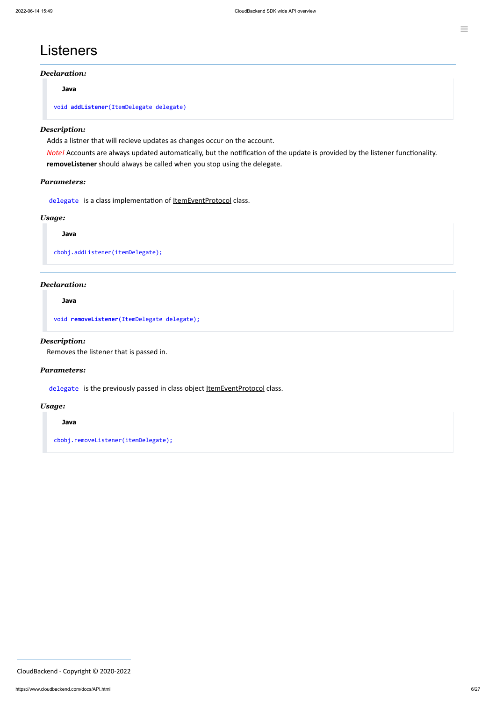### **Listeners**

#### *Declaration:*

**Java**

```
void addListener(ItemDelegate delegate)
```
#### *Description:*

Adds a listner that will recieve updates as changes occur on the account.

*Note!* Accounts are always updated automatically, but the notification of the update is provided by the listener functionality. **removeListener** should always be called when you stop using the delegate.

#### *Parameters:*

delegate is a class implementation of **ItemEventProtocol** class.

#### *Usage:*

**Java**

cbobj.addListener(itemDelegate);

#### *Declaration:*

#### **Java**

void **removeListener**(ItemDelegate delegate);

#### *Description:*

Removes the listener that is passed in.

#### *Parameters:*

delegate is the previously passed in class object [ItemEventProtocol](#page-24-0) class.

#### *Usage:*

#### **Java**

cbobj.removeListener(itemDelegate);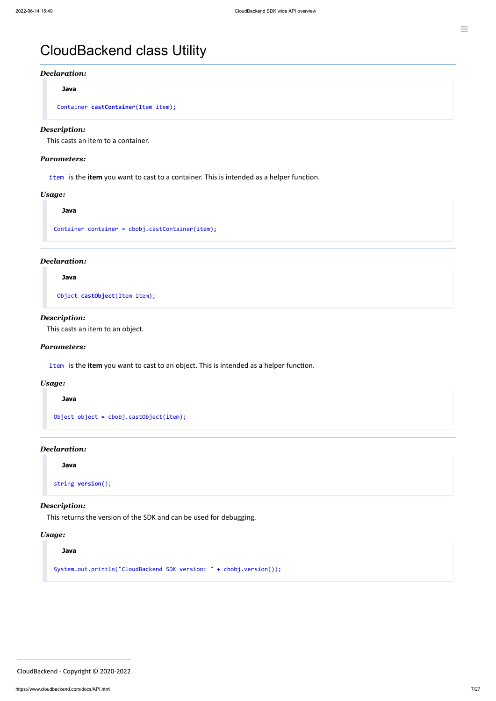# CloudBackend class Utility

#### *Declaration:*

**Java**

Container **castContainer**(Item item);

#### *Description:*

This casts an item to a container.

#### *Parameters:*

item is the **item** you want to cast to a container. This is intended as a helper function.

#### *Usage:*

**Java**

Container container = cbobj.castContainer(item);

#### *Declaration:*

**Java**

Object **castObject**(Item item);

#### *Description:*

This casts an item to an object.

#### *Parameters:*

item is the **item** you want to cast to an object. This is intended as a helper function.

#### *Usage:*

**Java**

Object object = cbobj.castObject(item);

#### *Declaration:*

**Java**

string **version**();

#### *Description:*

This returns the version of the SDK and can be used for debugging.

#### *Usage:*

**Java**

System.out.println("CloudBackend SDK version: " + cbobj.version());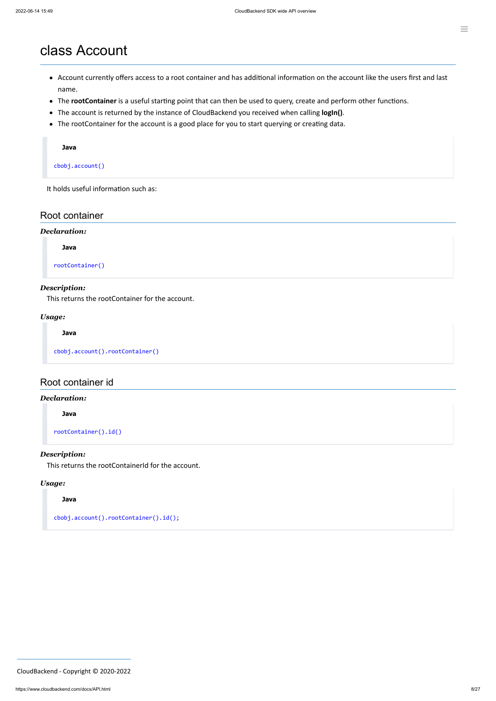### <span id="page-7-0"></span>class Account

- Account currently offers access to a root container and has additional information on the account like the users first and last name.
- The **rootContainer** is a useful starting point that can then be used to query, create and perform other functions.
- The account is returned by the instance of CloudBackend you received when calling **logIn()**.
- The rootContainer for the account is a good place for you to start querying or creating data.

#### **Java**

cbobj.account()

It holds useful information such as:

#### Root container

#### *Declaration:*

**Java**

rootContainer()

#### *Description:*

This returns the rootContainer for the account.

#### *Usage:*

**Java**

cbobj.account().rootContainer()

#### Root container id

#### *Declaration:*

**Java**

rootContainer().id()

#### *Description:*

This returns the rootContainerId for the account.

#### *Usage:*

**Java**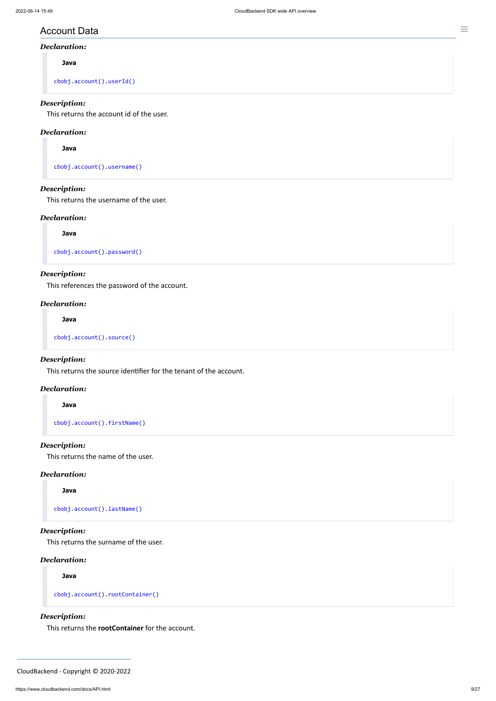#### Account Data

#### *Declaration:*

**Java**

cbobj.account().userId()

#### *Description:*

This returns the account id of the user.

#### *Declaration:*

**Java**

cbobj.account().username()

#### *Description:*

This returns the username of the user.

#### *Declaration:*

**Java**

cbobj.account().password()

#### *Description:*

This references the password of the account.

#### *Declaration:*

**Java**

cbobj.account().source()

#### *Description:*

This returns the source identifier for the tenant of the account.

#### *Declaration:*

#### **Java**

cbobj.account().firstName()

#### *Description:*

This returns the name of the user.

#### *Declaration:*

**Java**

```
cbobj.account().lastName()
```
#### *Description:*

This returns the surname of the user.

#### *Declaration:*

**Java**

```
cbobj.account().rootContainer()
```
*Description:*

This returns the **rootContainer** for the account.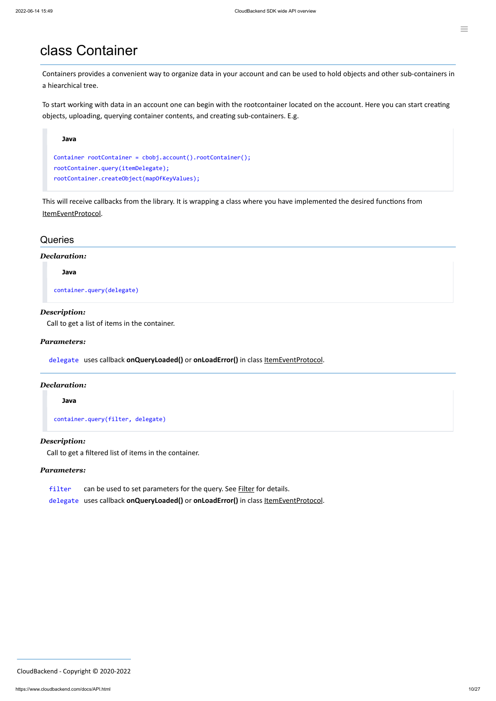### class Container

Containers provides a convenient way to organize data in your account and can be used to hold objects and other sub-containers in a hiearchical tree.

To start working with data in an account one can begin with the rootcontainer located on the account. Here you can start creating objects, uploading, querying container contents, and creating sub-containers. E.g.



This will receive callbacks from the library. It is wrapping a class where you have implemented the desired functions from [ItemEventProtocol.](#page-24-0)

#### **Queries**

#### *Declaration:*

**Java**

container.query(delegate)

#### *Description:*

Call to get a list of items in the container.

#### *Parameters:*

delegate uses callback **onQueryLoaded()** or **onLoadError()** in class [ItemEventProtocol](#page-24-0).

#### *Declaration:*

#### **Java**

container.query(filter, delegate)

#### *Description:*

Call to get a filtered list of items in the container.

#### *Parameters:*

filter can be used to set parameters for the query. See **[Filter](#page-22-0)** for details.

delegate uses callback **onQueryLoaded()** or **onLoadError()** in class [ItemEventProtocol](#page-24-0).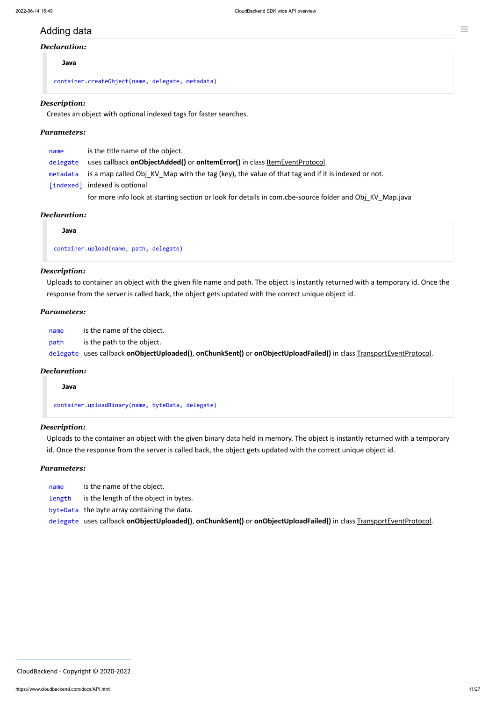#### Adding data

#### *Declaration:*

#### **Java**

container.createObject(name, delegate, metadata)

#### *Description:*

Creates an object with optional indexed tags for faster searches.

#### *Parameters:*

| name     | is the title name of the object.                                                                  |
|----------|---------------------------------------------------------------------------------------------------|
| delegate | uses callback onObjectAdded() or onItemError() in class ItemEventProtocol.                        |
| metadata | is a map called Obj KV Map with the tag (key), the value of that tag and if it is indexed or not. |
|          | [indexed] indexed is optional                                                                     |
|          |                                                                                                   |

for more info look at starting section or look for details in com.cbe-source folder and Obj\_KV\_Map.java

#### *Declaration:*

#### **Java**

container.upload(name, path, delegate)

#### *Description:*

Uploads to container an object with the given file name and path. The object is instantly returned with a temporary id. Once the response from the server is called back, the object gets updated with the correct unique object id.

#### *Parameters:*

name is the name of the object.

path is the path to the object.

delegate uses callback **onObjectUploaded()**, **onChunkSent()** or **onObjectUploadFailed()** in class TransportEventProtocol.

#### *Declaration:*

**Java**

container.uploadBinary(name, byteData, delegate)

#### *Description:*

Uploads to the container an object with the given binary data held in memory. The object is instantly returned with a temporary id. Once the response from the server is called back, the object gets updated with the correct unique object id.

#### *Parameters:*

name is the name of the object.

length is the length of the object in bytes.

byteData the byte array containing the data.

delegate uses callback **onObjectUploaded()**, **onChunkSent()** or **onObjectUploadFailed()** in class TransportEventProtocol.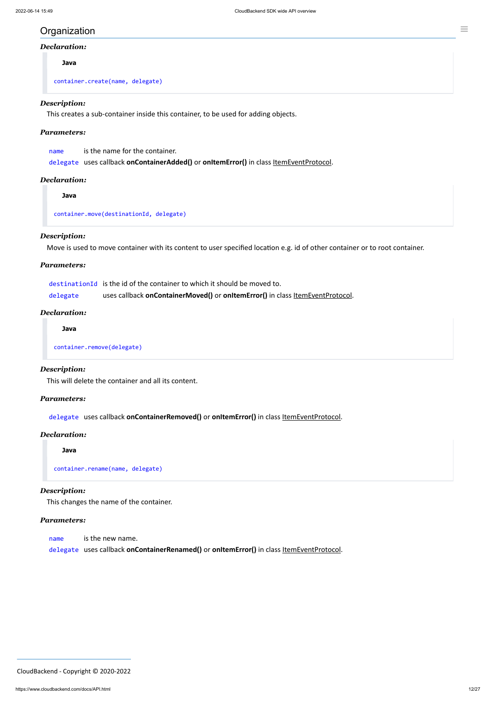### Organization

#### *Declaration:*

**Java**

container.create(name, delegate)

#### *Description:*

This creates a sub-container inside this container, to be used for adding objects.

#### *Parameters:*

delegate uses callback **onContainerAdded()** or **onItemError()** in class [ItemEventProtocol](#page-24-0).

#### *Declaration:*

**Java**

container.move(destinationId, delegate)

#### *Description:*

Move is used to move container with its content to user specified location e.g. id of other container or to root container.

#### *Parameters:*

|          | destination Id is the id of the container to which it should be moved to.     |
|----------|-------------------------------------------------------------------------------|
| delegate | uses callback onContainerMoved() or onItemError() in class ItemEventProtocol. |

#### *Declaration:*

**Java**

container.remove(delegate)

#### *Description:*

This will delete the container and all its content.

#### *Parameters:*

delegate uses callback **onContainerRemoved()** or **onItemError()** in class [ItemEventProtocol](#page-24-0).

#### *Declaration:*

**Java**

container.rename(name, delegate)

#### *Description:*

This changes the name of the container.

#### *Parameters:*

name is the new name.

delegate uses callback **onContainerRenamed()** or **onItemError()** in class [ItemEventProtocol.](#page-24-0)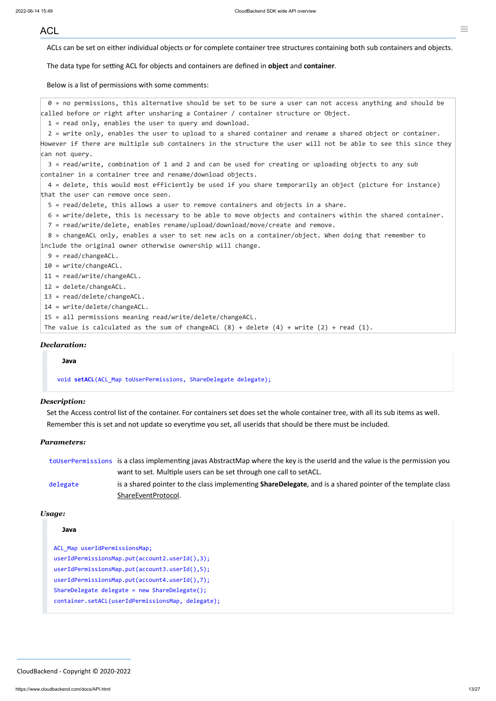#### <span id="page-12-0"></span>ACL

ACLs can be set on either individual objects or for complete container tree structures containing both sub containers and objects.

The data type for setting ACL for objects and containers are defined in **object** and **container**.

Below is a list of permissions with some comments:

0 = no permissions, this alternative should be set to be sure a user can not access anything and should be called before or right after unsharing a Container / container structure or Object.

1 = read only, enables the user to query and download.

2 = write only, enables the user to upload to a shared container and rename a shared object or container. However if there are multiple sub containers in the structure the user will not be able to see this since they can not query.

3 = read/write, combination of 1 and 2 and can be used for creating or uploading objects to any sub container in a container tree and rename/download objects.

4 = delete, this would most efficiently be used if you share temporarily an object (picture for instance) that the user can remove once seen.

5 = read/delete, this allows a user to remove containers and objects in a share.

6 = write/delete, this is necessary to be able to move objects and containers within the shared container.

7 = read/write/delete, enables rename/upload/download/move/create and remove.

8 = changeACL only, enables a user to set new acls on a container/object. When doing that remember to include the original owner otherwise ownership will change.

- 9 = read/changeACL.
- 10 = write/changeACL.

11 = read/write/changeACL.

- 12 = delete/changeACL.
- 13 = read/delete/changeACL.

14 = write/delete/changeACL.

15 = all permissions meaning read/write/delete/changeACL.

The value is calculated as the sum of changeACL  $(8)$  + delete  $(4)$  + write  $(2)$  + read  $(1)$ .

#### *Declaration:*

#### **Java**

void **setACL**(ACL\_Map toUserPermissions, ShareDelegate delegate);

#### *Description:*

Set the Access control list of the container. For containers set does set the whole container tree, with all its sub items as well. Remember this is set and not update so everytime you set, all userids that should be there must be included.

#### *Parameters:*

|          | toUserPermissions is a class implementing javas AbstractMap where the key is the userId and the value is the permission you |
|----------|-----------------------------------------------------------------------------------------------------------------------------|
|          | want to set. Multiple users can be set through one call to setACL.                                                          |
| delegate | is a shared pointer to the class implementing <b>ShareDelegate</b> , and is a shared pointer of the template class          |
|          | ShareEventProtocol.                                                                                                         |

*Usage:*

#### **Java**

ACL\_Map userIdPermissionsMap; userIdPermissionsMap.put(account2.userId(),3); userIdPermissionsMap.put(account3.userId(),5); userIdPermissionsMap.put(account4.userId(),7); ShareDelegate delegate = new ShareDelegate(); container.setACL(userIdPermissionsMap, delegate);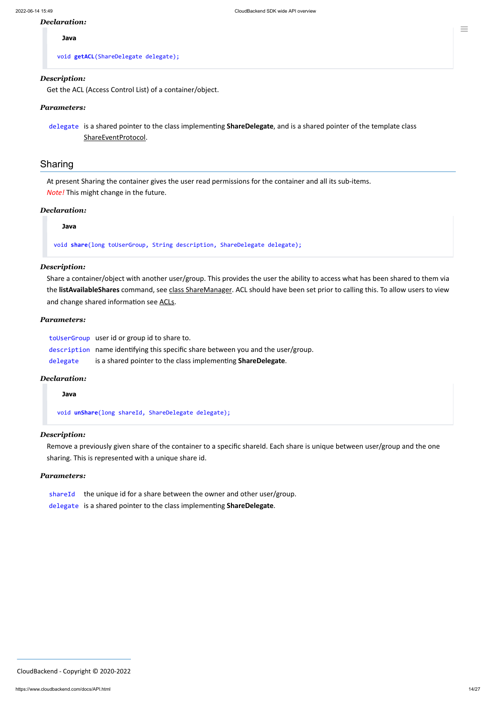#### *Declaration:*

#### **Java**

void **getACL**(ShareDelegate delegate);

#### *Description:*

Get the ACL (Access Control List) of a container/object.

#### *Parameters:*

delegate is a shared pointer to the class implementing **ShareDelegate**, and is a shared pointer of the template class [ShareEventProtocol](#page-25-0).

#### Sharing

At present Sharing the container gives the user read permissions for the container and all its sub-items. *Note!* This might change in the future.

#### *Declaration:*

**Java**

void **share**(long toUserGroup, String description, ShareDelegate delegate);

#### *Description:*

Remove a previously given share of the container to a specific shareId. Each share is unique between user/group and the one sharing. This is represented with a unique share id.

- shareId the unique id for a share between the owner and other user/group.
- delegate is a shared pointer to the class implementing **ShareDelegate**.

Share a container/object with another user/group. This provides the user the ability to access what has been shared to them via the **listAvailableShares** command, see class [ShareManager](#page-14-0). ACL should have been set prior to calling this. To allow users to view and change shared information see [ACLs](#page-12-0).

#### *Parameters:*

toUserGroup user id or group id to share to. description name identifying this specific share between you and the user/group. delegate is a shared pointer to the class implementing **ShareDelegate**.

#### *Declaration:*

**Java**

void **unShare**(long shareId, ShareDelegate delegate);

#### *Description:*

#### *Parameters:*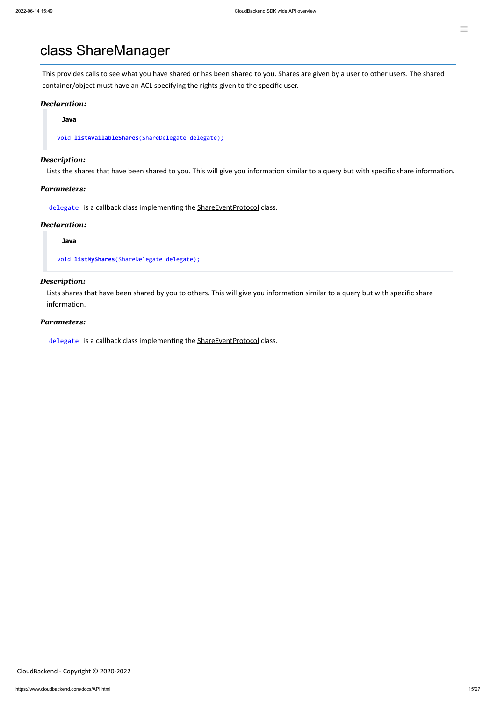### <span id="page-14-0"></span>class ShareManager

This provides calls to see what you have shared or has been shared to you. Shares are given by a user to other users. The shared container/object must have an ACL specifying the rights given to the specific user.

#### *Declaration:*

**Java**

void **listAvailableShares**(ShareDelegate delegate);

#### *Description:*

Lists the shares that have been shared to you. This will give you information similar to a query but with specific share information.

#### *Parameters:*

delegate is a callback class implementing the [ShareEventProtocol](#page-25-0) class.

#### *Declaration:*

**Java**

void **listMyShares**(ShareDelegate delegate);

#### *Description:*

Lists shares that have been shared by you to others. This will give you information similar to a query but with specific share information.

#### *Parameters:*

delegate is a callback class implementing the [ShareEventProtocol](#page-25-0) class.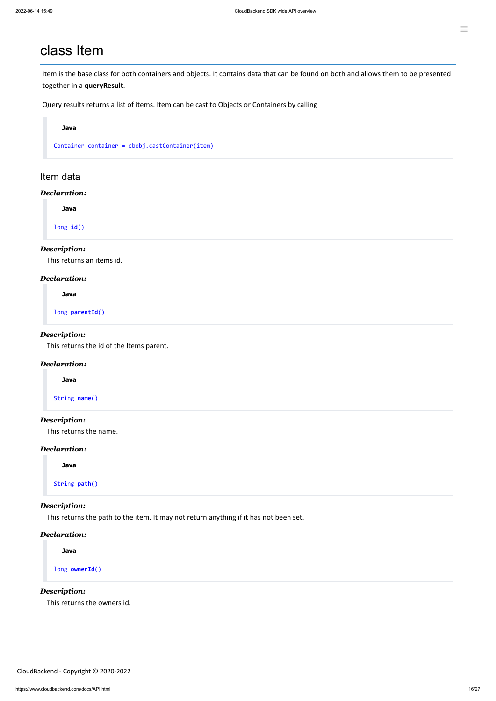### <span id="page-15-0"></span>class Item

Item is the base class for both containers and objects. It contains data that can be found on both and allows them to be presented together in a **queryResult**.

Query results returns a list of items. Item can be cast to Objects or Containers by calling

#### **Java**

Container container = cbobj.castContainer(item)

#### Item data

#### *Declaration:*

**Java**

long **id**()

#### *Description:*

This returns an items id.

#### *Declaration:*

**Java**

long **parentId**()

#### *Description:*

This returns the id of the Items parent.

#### *Declaration:*

**Java**

String **name**()

#### *Description:*

This returns the name.

#### *Declaration:*

**Java**

String **path**()

#### *Description:*

This returns the path to the item. It may not return anything if it has not been set.

#### *Declaration:*

**Java**

long **ownerId**()

*Description:*

This returns the owners id.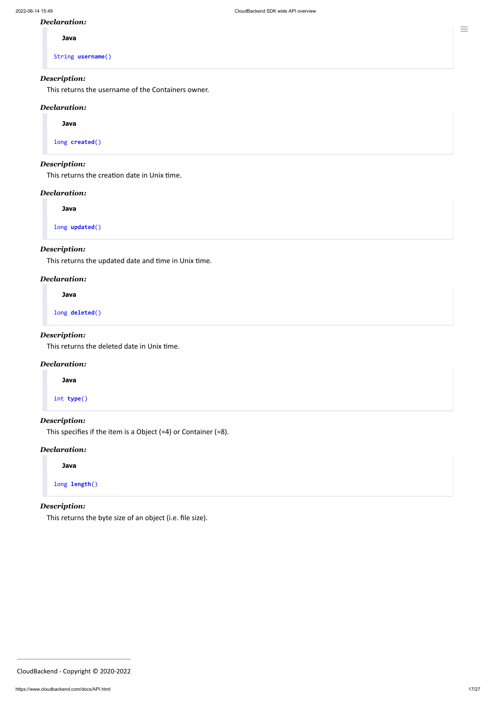#### *Declaration:*

**Java**

String **username**()

#### *Description:*

This returns the username of the Containers owner.

#### *Declaration:*

**Java**

long **created**()

#### *Description:*

This returns the creation date in Unix time.

#### *Declaration:*

**Java**

long **updated**()

#### *Description:*

This returns the updated date and time in Unix time.

#### *Declaration:*

**Java**

long **deleted**()

#### *Description:*

This returns the deleted date in Unix time.

#### *Declaration:*

**Java**

int **type**()

#### *Description:*

This specifies if the item is a Object (=4) or Container (=8).

#### *Declaration:*

**Java**

long **length**()

#### *Description:*

This returns the byte size of an object (i.e. file size).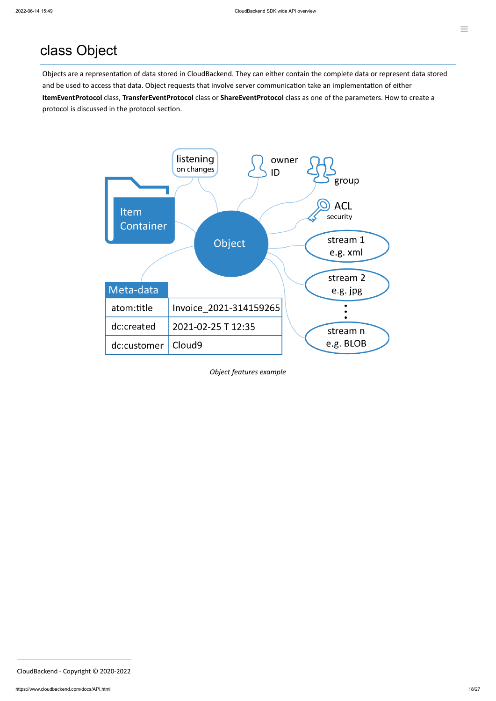## class Object

Objects are a representation of data stored in CloudBackend. They can either contain the complete data or represent data stored and be used to access that data. Object requests that involve server communication take an implementation of either **ItemEventProtocol** class, **TransferEventProtocol** class or **ShareEventProtocol** class as one of the parameters. How to create a protocol is discussed in the protocol section.



*Object features example*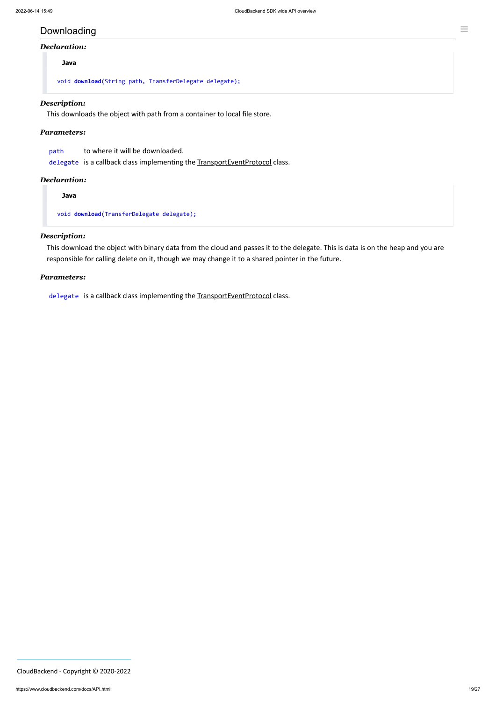### Downloading

#### *Declaration:*

#### **Java**

void **download**(String path, TransferDelegate delegate);

#### *Description:*

This downloads the object with path from a container to local file store.

#### *Parameters:*

| path | to where it will be downloaded.                                             |
|------|-----------------------------------------------------------------------------|
|      | delegate is a callback class implementing the TransportEventProtocol class. |

#### *Declaration:*

**Java**

void **download**(TransferDelegate delegate);

#### *Description:*

This download the object with binary data from the cloud and passes it to the delegate. This is data is on the heap and you are responsible for calling delete on it, though we may change it to a shared pointer in the future.

#### *Parameters:*

delegate is a callback class implementing the TransportEventProtocol class.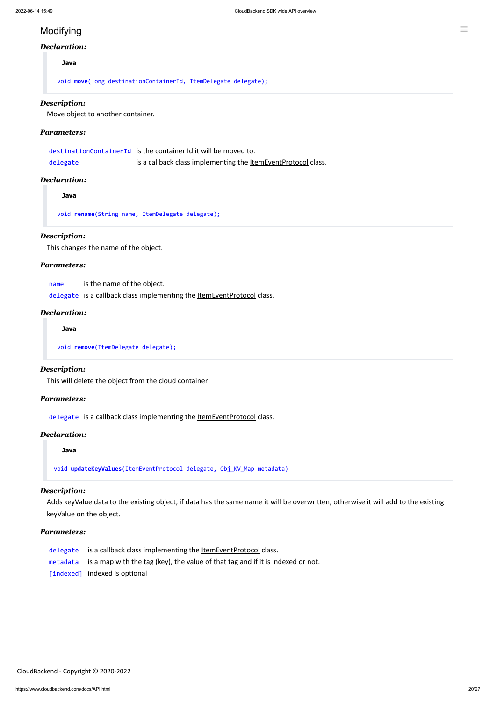### Modifying

#### *Declaration:*

#### **Java**

void **move**(long destinationContainerId, ItemDelegate delegate);

#### *Description:*

Move object to another container.

#### *Parameters:*

|          | destinationContainerId is the container Id it will be moved to.      |
|----------|----------------------------------------------------------------------|
| delegate | is a callback class implementing the <b>ItemEventProtocol</b> class. |

#### *Declaration:*

**Java**

void **rename**(String name, ItemDelegate delegate);

#### *Description:*

This changes the name of the object.

#### *Parameters:*

name is the name of the object.

delegate is a callback class implementing the ltemEventProtocol class.

#### *Declaration:*

**Java**

void **remove**(ItemDelegate delegate);

#### *Description:*

This will delete the object from the cloud container.

#### *Parameters:*

delegate is a callback class implementing the **[ItemEventProtocol](#page-24-0)** class.

#### *Declaration:*

**Java**

void **updateKeyValues**(ItemEventProtocol delegate, Obj\_KV\_Map metadata)

#### *Description:*

Adds keyValue data to the existing object, if data has the same name it will be overwritten, otherwise it will add to the existing keyValue on the object.

#### *Parameters:*

delegate is a callback class implementing the ltemEventProtocol class.

metadata is a map with the tag (key), the value of that tag and if it is indexed or not.

[indexed] indexed is optional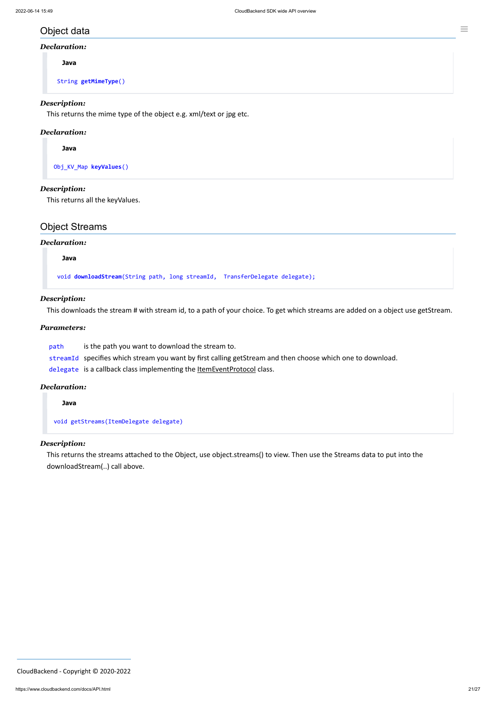### Object data

#### *Declaration:*

**Java**

String **getMimeType**()

#### *Description:*

This returns the mime type of the object e.g. xml/text or jpg etc.

#### *Declaration:*

**Java**

Obj\_KV\_Map **keyValues**()

#### *Description:*

This returns all the keyValues.

### Object Streams

#### *Declaration:*

**Java**

void **downloadStream**(String path, long streamId, TransferDelegate delegate);

#### *Description:*

This downloads the stream # with stream id, to a path of your choice. To get which streams are added on a object use getStream.

#### *Parameters:*

path is the path you want to download the stream to.

streamId specifies which stream you want by first calling getStream and then choose which one to download.

delegate is a callback class implementing the **[ItemEventProtocol](#page-24-0)** class.

#### *Declaration:*

**Java**

void getStreams(ItemDelegate delegate)

#### *Description:*

This returns the streams attached to the Object, use object.streams() to view. Then use the Streams data to put into the downloadStream(..) call above.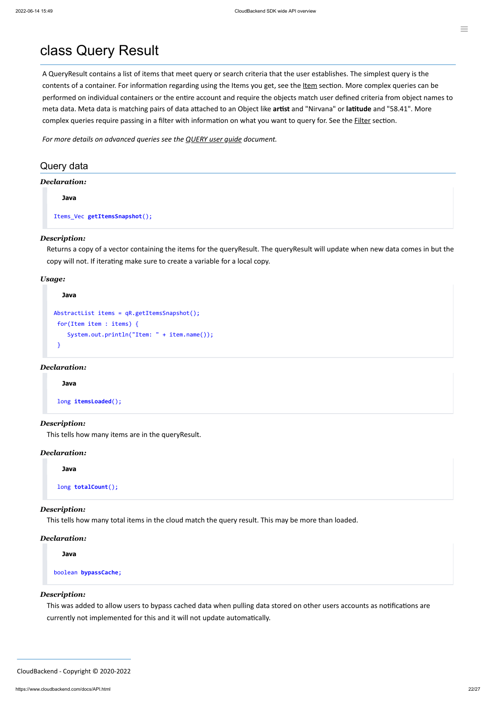A QueryResult contains a list of items that meet query or search criteria that the user establishes. The simplest query is the contents of a container. For information regarding using the [Item](#page-15-0)s you get, see the Item section. More complex queries can be performed on individual containers or the entire account and require the objects match user defined criteria from object names to meta data. Meta data is matching pairs of data attached to an Object like **artist** and "Nirvana" or **latitude** and "58.41". More complex queries require passing in a filter with information on what you want to query for. See the **[Filter](#page-22-0)** section.

### class Query Result

*For more details on advanced queries see the [QUERY](https://www.cloudbackend.com/docs/QUERYug.html) user guide document.*

### Query data

#### *Declaration:*

**Java**

Items\_Vec **getItemsSnapshot**();

#### *Description:*

Returns a copy of a vector containing the items for the queryResult. The queryResult will update when new data comes in but the copy will not. If iterating make sure to create a variable for a local copy.

#### *Usage:*

```
Java
AbstractList items = qR.getItemsSnapshot();
  for(Item item : items) {
     System.out.println("Item: " + item.name());
 }
```
#### *Declaration:*

#### **Java**

long **itemsLoaded**();

#### *Description:*

This tells how many items are in the queryResult.

#### *Declaration:*

**Java**

long **totalCount**();

#### *Description:*

This tells how many total items in the cloud match the query result. This may be more than loaded.

#### *Declaration:*

**Java**

boolean **bypassCache**;

#### *Description:*

This was added to allow users to bypass cached data when pulling data stored on other users accounts as notifications are

currently not implemented for this and it will not update automatically.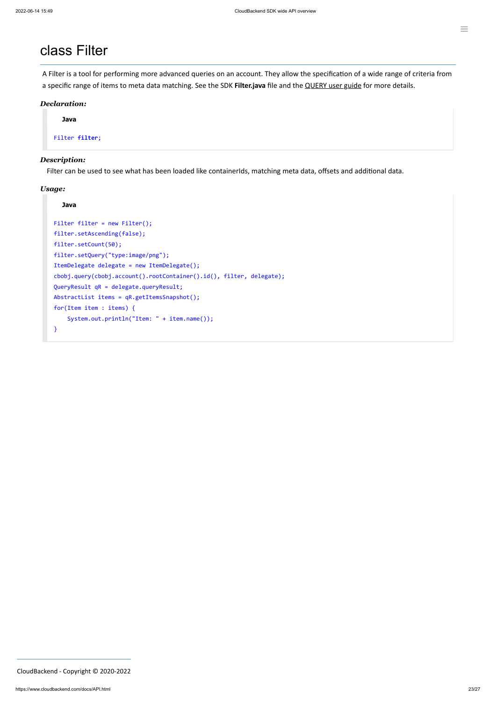### <span id="page-22-0"></span>class Filter

A Filter is a tool for performing more advanced queries on an account. They allow the specification of a wide range of criteria from a specific range of items to meta data matching. See the SDK **Filter.java** file and the [QUERY](https://www.cloudbackend.com/docs/QUERYug.html) user guide for more details.

#### *Declaration:*

**Java**

Filter **filter**;

#### *Description:*

Filter can be used to see what has been loaded like containerIds, matching meta data, offsets and additional data.

```
Filter filter = new Filter();
filter.setAscending(false);
filter.setCount(50);
filter.setQuery("type:image/png");
ItemDelegate delegate = new ItemDelegate();
cbobj.query(cbobj.account().rootContainer().id(), filter, delegate);
QueryResult qR = delegate.queryResult;
AbstractList items = qR.getItemsSnapshot();
for(Item item : items) {
    System.out.println("Item: " + item.name());
}
```
#### *Usage:*

#### **Java**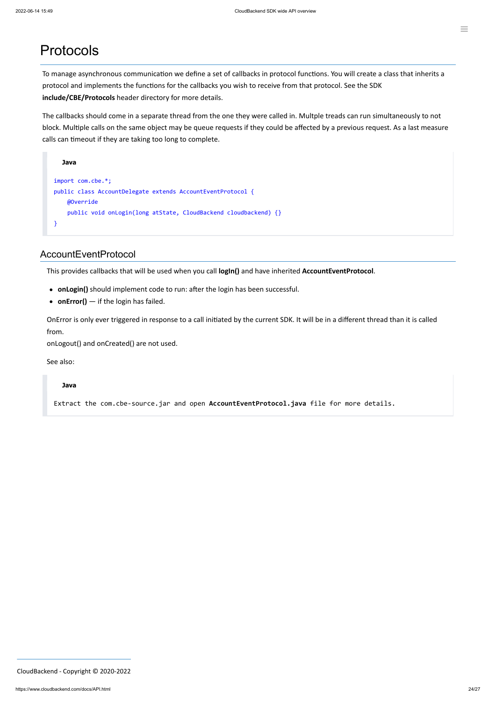### Protocols

To manage asynchronous communication we define a set of callbacks in protocol functions. You will create a class that inherits a protocol and implements the functions for the callbacks you wish to receive from that protocol. See the SDK **include/CBE/Protocols** header directory for more details.

The callbacks should come in a separate thread from the one they were called in. Multple treads can run simultaneously to not block. Multiple calls on the same object may be queue requests if they could be affected by a previous request. As a last measure calls can timeout if they are taking too long to complete.

```
Java
import com.cbe.*;
public class AccountDelegate extends AccountEventProtocol {
     @Override
    public void onLogin(long atState, CloudBackend cloudbackend) {}
}
```
### <span id="page-23-0"></span>AccountEventProtocol

This provides callbacks that will be used when you call **logIn()** and have inherited **AccountEventProtocol**.

- **onLogin()** should implement code to run: after the login has been successful.
- **onError()** if the login has failed.

OnError is only ever triggered in response to a call initiated by the current SDK. It will be in a different thread than it is called from.

onLogout() and onCreated() are not used.

See also:

#### **Java**

Extract the com.cbe-source.jar and open **AccountEventProtocol.java** file for more details.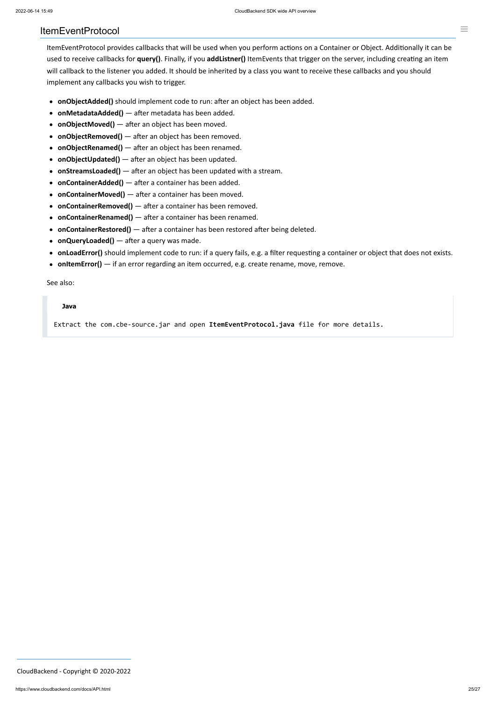#### <span id="page-24-0"></span>ItemEventProtocol

ItemEventProtocol provides callbacks that will be used when you perform actions on a Container or Object. Additionally it can be used to receive callbacks for **query()**. Finally, if you **addListner()** ItemEvents that trigger on the server, including creating an item will callback to the listener you added. It should be inherited by a class you want to receive these callbacks and you should implement any callbacks you wish to trigger.

- **onObjectAdded()** should implement code to run: after an object has been added.
- **onMetadataAdded()** after metadata has been added.
- **onObjectMoved()** after an object has been moved.
- **onObjectRemoved()** after an object has been removed.
- **onObjectRenamed()** after an object has been renamed.
- **onObjectUpdated()** after an object has been updated.
- **onStreamsLoaded()** after an object has been updated with a stream.
- **onContainerAdded()** after a container has been added.
- **onContainerMoved()** after a container has been moved.
- **onContainerRemoved()** after a container has been removed.
- **onContainerRenamed()** after a container has been renamed.
- **onContainerRestored()** after a container has been restored after being deleted.
- **onQueryLoaded()** after a query was made.
- **onLoadError()** should implement code to run: if a query fails, e.g. a filter requesting a container or object that does not exists.
- **onItemError()** if an error regarding an item occurred, e.g. create rename, move, remove.

See also:

#### **Java**

Extract the com.cbe-source.jar and open **ItemEventProtocol.java** file for more details.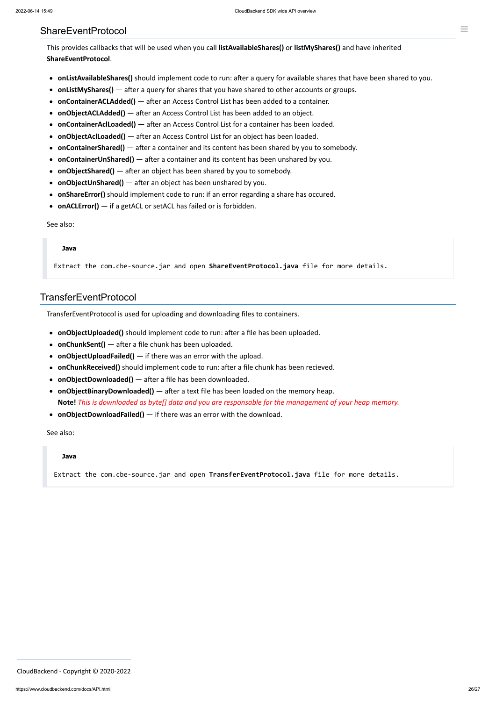#### <span id="page-25-0"></span>ShareEventProtocol

This provides callbacks that will be used when you call **listAvailableShares()** or **listMyShares()** and have inherited **ShareEventProtocol**.

- **onListAvailableShares()** should implement code to run: after a query for available shares that have been shared to you.
- **onListMyShares()** after a query for shares that you have shared to other accounts or groups.
- **onContainerACLAdded()** after an Access Control List has been added to a container.
- **onObjectACLAdded()** after an Access Control List has been added to an object.
- **onContainerAclLoaded()** after an Access Control List for a container has been loaded.
- **onObjectAclLoaded()** after an Access Control List for an object has been loaded.
- **onContainerShared()** after a container and its content has been shared by you to somebody.
- **onContainerUnShared()** after a container and its content has been unshared by you.
- **onObjectShared()** after an object has been shared by you to somebody.
- **onObjectUnShared()** after an object has been unshared by you.
- **onShareError()** should implement code to run: if an error regarding a share has occured.
- **onACLError()** if a getACL or setACL has failed or is forbidden.

#### See also:

#### **Java**

Extract the com.cbe-source.jar and open **ShareEventProtocol.java** file for more details.

#### TransferEventProtocol

TransferEventProtocol is used for uploading and downloading files to containers.

- **onObjectUploaded()** should implement code to run: after a file has been uploaded.
- **onChunkSent()** after a file chunk has been uploaded.
- **onObjectUploadFailed()** if there was an error with the upload.
- **onChunkReceived()** should implement code to run: after a file chunk has been recieved.
- **onObjectDownloaded()** after a file has been downloaded.
- **onObjectBinaryDownloaded()** after a text file has been loaded on the memory heap. **Note!** *This is downloaded as byte[] data and you are responsable for the management of your heap memory.*
- **onObjectDownloadFailed()** if there was an error with the download.

See also:

#### **Java**

Extract the com.cbe-source.jar and open **TransferEventProtocol.java** file for more details.